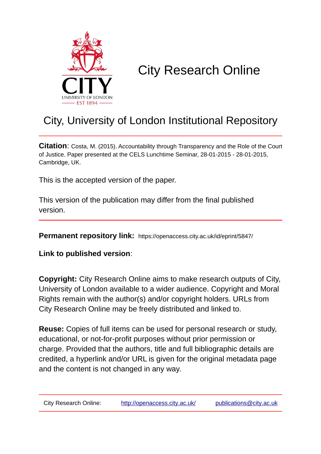

# City Research Online

# City, University of London Institutional Repository

**Citation**: Costa, M. (2015). Accountability through Transparency and the Role of the Court of Justice. Paper presented at the CELS Lunchtime Seminar, 28-01-2015 - 28-01-2015, Cambridge, UK.

This is the accepted version of the paper.

This version of the publication may differ from the final published version.

**Permanent repository link:** https://openaccess.city.ac.uk/id/eprint/5847/

**Link to published version**:

**Copyright:** City Research Online aims to make research outputs of City, University of London available to a wider audience. Copyright and Moral Rights remain with the author(s) and/or copyright holders. URLs from City Research Online may be freely distributed and linked to.

**Reuse:** Copies of full items can be used for personal research or study, educational, or not-for-profit purposes without prior permission or charge. Provided that the authors, title and full bibliographic details are credited, a hyperlink and/or URL is given for the original metadata page and the content is not changed in any way.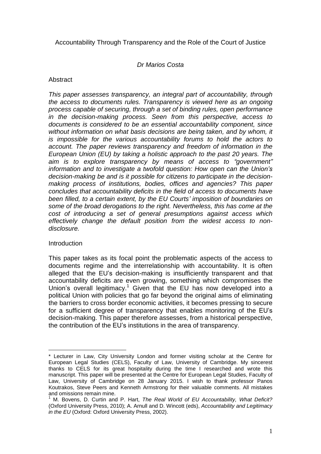Accountability Through Transparency and the Role of the Court of Justice

### *Dr Marios Costa*

#### **Abstract**

*This paper assesses transparency, an integral part of accountability, through the access to documents rules. Transparency is viewed here as an ongoing process capable of securing, through a set of binding rules, open performance in the decision-making process. Seen from this perspective, access to documents is considered to be an essential accountability component, since without information on what basis decisions are being taken, and by whom, it is impossible for the various accountability forums to hold the actors to account. The paper reviews transparency and freedom of information in the European Union (EU) by taking a holistic approach to the past 20 years. The aim is to explore transparency by means of access to "government" information and to investigate a twofold question: How open can the Union's decision-making be and is it possible for citizens to participate in the decisionmaking process of institutions, bodies, offices and agencies? This paper concludes that accountability deficits in the field of access to documents have been filled, to a certain extent, by the EU Courts' imposition of boundaries on some of the broad derogations to the right. Nevertheless, this has come at the cost of introducing a set of general presumptions against access which effectively change the default position from the widest access to nondisclosure.*

#### **Introduction**

This paper takes as its focal point the problematic aspects of the access to documents regime and the interrelationship with accountability. It is often alleged that the EU's decision-making is insufficiently transparent and that accountability deficits are even growing, something which compromises the Union's overall legitimacy.<sup>1</sup> Given that the EU has now developed into a political Union with policies that go far beyond the original aims of eliminating the barriers to cross border economic activities, it becomes pressing to secure for a sufficient degree of transparency that enables monitoring of the EU's decision-making. This paper therefore assesses, from a historical perspective, the contribution of the EU's institutions in the area of transparency.

 $\overline{a}$ \* Lecturer in Law, City University London and former visiting scholar at the Centre for European Legal Studies (CELS), Faculty of Law, University of Cambridge. My sincerest thanks to CELS for its great hospitality during the time I researched and wrote this manuscript. This paper will be presented at the Centre for European Legal Studies, Faculty of Law, University of Cambridge on 28 January 2015. I wish to thank professor Panos Koutrakos, Steve Peers and Kenneth Armstrong for their valuable comments. All mistakes and omissions remain mine.

<sup>1</sup> M. Bovens, D. Curtin and P. Hart, *The Real World of EU Accountability, What Deficit?* (Oxford University Press, 2010); A. Arnull and D. Wincott (eds), *Accountability and Legitimacy in the EU* (Oxford: Oxford University Press, 2002).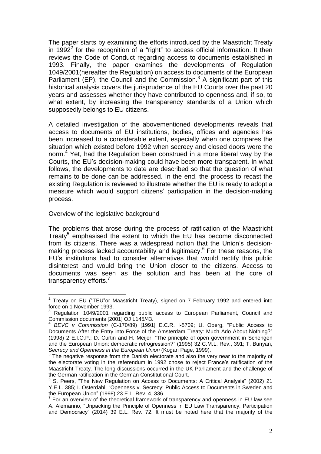The paper starts by examining the efforts introduced by the Maastricht Treaty in 1992<sup>2</sup> for the recognition of a "right" to access official information. It then reviews the Code of Conduct regarding access to documents established in 1993. Finally, the paper examines the developments of Regulation 1049/2001(hereafter the Regulation) on access to documents of the European Parliament (EP), the Council and the Commission. $3$  A significant part of this historical analysis covers the jurisprudence of the EU Courts over the past 20 years and assesses whether they have contributed to openness and, if so, to what extent, by increasing the transparency standards of a Union which supposedly belongs to EU citizens.

A detailed investigation of the abovementioned developments reveals that access to documents of EU institutions, bodies, offices and agencies has been increased to a considerable extent, especially when one compares the situation which existed before 1992 when secrecy and closed doors were the norm.<sup>4</sup> Yet, had the Regulation been construed in a more liberal way by the Courts, the EU's decision-making could have been more transparent. In what follows, the developments to date are described so that the question of what remains to be done can be addressed. In the end, the process to recast the existing Regulation is reviewed to illustrate whether the EU is ready to adopt a measure which would support citizens' participation in the decision-making process.

#### Overview of the legislative background

The problems that arose during the process of ratification of the Maastricht Treaty<sup>5</sup> emphasised the extent to which the EU has become disconnected from its citizens. There was a widespread notion that the Union's decisionmaking process lacked accountability and legitimacy.<sup>6</sup> For these reasons, the EU's institutions had to consider alternatives that would rectify this public disinterest and would bring the Union closer to the citizens. Access to documents was seen as the solution and has been at the core of transparency efforts.<sup>7</sup>

 2 Treaty on EU ("TEU"or Maastricht Treaty), signed on 7 February 1992 and entered into force on 1 November 1993.

Regulation 1049/2001 regarding public access to European Parliament, Council and Commission documents [2001] OJ L145/43. 4

*BEVC v Commission* (C-170/89) [1991] E.C.R. I-5709; U. Oberg, "Public Access to Documents After the Entry into Force of the Amsterdam Treaty: Much Ado About Nothing?" (1998) 2 E.I.O.P.; D. Curtin and H. Meijer, "The principle of open government in Schengen and the European Union: democratic retrogression?" (1995) 32 C.M.L. Rev., 391; T. Bunyan, *Secrecy and Openness in the European Union* (Kogan Page, 1999). 5

The negative response from the Danish electorate and also the very near to the majority of the electorate voting in the referendum in 1992 chose to reject France's ratification of the Maastricht Treaty. The long discussions occurred in the UK Parliament and the challenge of the German ratification in the German Constitutional Court.

<sup>&</sup>lt;sup>6</sup> S. Peers, "The New Regulation on Access to Documents: A Critical Analysis" (2002) 21 Y.E.L. 385; I. Osterdahl, "Openness v. Secrecy: Public Access to Documents in Sweden and the European Union" (1998) 23 E.L. Rev. 4, 336.

 $7$  For an overview of the theoretical framework of transparency and openness in EU law see A. Alemanno, "Unpacking the Principle of Openness in EU Law Transparency, Participation and Democracy" (2014) 39 E.L. Rev. 72. It must be noted here that the majority of the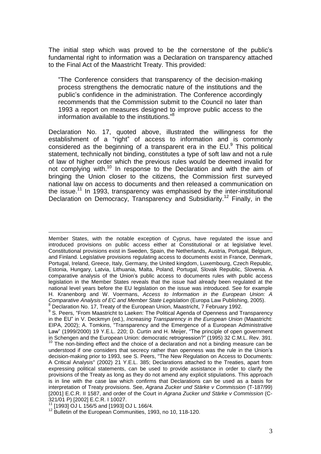The initial step which was proved to be the cornerstone of the public's fundamental right to information was a Declaration on transparency attached to the Final Act of the Maastricht Treaty. This provided:

"The Conference considers that transparency of the decision-making process strengthens the democratic nature of the institutions and the public's confidence in the administration. The Conference accordingly recommends that the Commission submit to the Council no later than 1993 a report on measures designed to improve public access to the information available to the institutions."<sup>8</sup>

Declaration No. 17, quoted above, illustrated the willingness for the establishment of a "right" of access to information and is commonly considered as the beginning of a transparent era in the EU. $^{9}$  This political statement, technically not binding, constitutes a type of soft law and not a rule of law of higher order which the previous rules would be deemed invalid for not complying with.<sup>10</sup> In response to the Declaration and with the aim of bringing the Union closer to the citizens, the Commission first surveyed national law on access to documents and then released a communication on the issue.<sup>11</sup> In 1993, transparency was emphasised by the inter-institutional Declaration on Democracy, Transparency and Subsidiarity.<sup>12</sup> Finally, in the

 $\overline{a}$ Member States, with the notable exception of Cyprus, have regulated the issue and introduced provisions on public access either at Constitutional or at legislative level. Constitutional provisions exist in Sweden, Spain, the Netherlands, Austria, Portugal, Belgium, and Finland. Legislative provisions regulating access to documents exist in France, Denmark, Portugal, Ireland, Greece, Italy, Germany, the United kingdom, Luxembourg, Czech Republic, Estonia, Hungary, Latvia, Lithuania, Malta, Poland, Portugal, Slovak Republic, Slovenia. A comparative analysis of the Union's public access to documents rules with public access legislation in the Member States reveals that the issue had already been regulated at the national level years before the EU legislation on the issue was introduced. See for example H. Kranenborg and W. Voermans, *Access to Information in the European Union: A Comparative Analysis of EC and Member State Legislation* (Europa Law Publishing, 2005). <sup>8</sup> Declaration No. 17, Treaty of the European Union, Maastricht, 7 February 1992.

<sup>9</sup> S. Peers, "From Maastricht to Laeken: The Political Agenda of Openness and Transparency in the EU" in V. Deckmyn (ed.), *Increasing Transparency in the European Union* (Maastricht: EIPA, 2002); A. Tomkins, "Transparency and the Emergence of a European Administrative Law" (1999/2000) 19 Y.E.L. 220; D. Curtin and H. Meijer, "The principle of open government in Schengen and the European Union: democratic retrogression?" (1995) 32 C.M.L. Rev. 391.

 $10$  The non-binding effect and the choice of a declaration and not a binding measure can be understood if one considers that secrecy rather than openness was the rule in the Union's decision-making prior to 1993, see S. Peers, "The New Regulation on Access to Documents: A Critical Analysis" (2002) 21 Y.E.L. 385; Declarations attached to the Treaties, apart from expressing political statements, can be used to provide assistance in order to clarify the provisions of the Treaty as long as they do not amend any explicit stipulations. This approach is in line with the case law which confirms that Declarations can be used as a basis for interpretation of Treaty provisions. See, *Agrana Zucker und Stärke v Commission* (T-187/99) [2001] E.C.R. II 1587, and order of the Court in *Agrana Zucker und Stärke v Commission* (C-321/01 P) [2002] E.C.R. I 10027.

<sup>11</sup> [1993] OJ L 156/5 and [1993] OJ L 166/4.

<sup>12</sup> Bulletin of the European Communities, 1993, no 10, 118-120.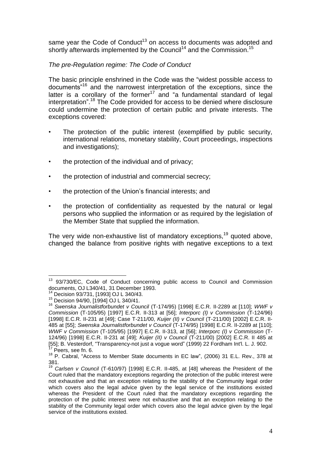same year the Code of Conduct<sup>13</sup> on access to documents was adopted and shortly afterwards implemented by the Council<sup>14</sup> and the Commission.<sup>15</sup>

# *The pre-Regulation regime: The Code of Conduct*

The basic principle enshrined in the Code was the "widest possible access to documents"<sup>16</sup> and the narrowest interpretation of the exceptions, since the latter is a corollary of the former $17$  and "a fundamental standard of legal interpretation". <sup>18</sup> The Code provided for access to be denied where disclosure could undermine the protection of certain public and private interests. The exceptions covered:

- The protection of the public interest (exemplified by public security, international relations, monetary stability, Court proceedings, inspections and investigations);
- the protection of the individual and of privacy;
- the protection of industrial and commercial secrecy;
- the protection of the Union's financial interests; and
- the protection of confidentiality as requested by the natural or legal persons who supplied the information or as required by the legislation of the Member State that supplied the information.

The very wide non-exhaustive list of mandatory exceptions,<sup>19</sup> quoted above, changed the balance from positive rights with negative exceptions to a text

 $\overline{a}$ <sup>13</sup> 93/730/EC, Code of Conduct concerning public access to Council and Commission documents, OJ L340/41, 31 December 1993.

<sup>&</sup>lt;sup>14</sup> Decision 93/731, [1993] OJ L 340/43.<br><sup>15</sup> Decision 04/00, [1004] O LL 340/41.

Decision 94/90, [1994] OJ L 340/41.

<sup>16</sup> *Swenska Journalistforbundet v Council* (T-174/95) [1998] E.C.R. II-2289 at [110]; *WWF v Commission* (T-105/95) [1997] E.C.R. II-313 at [56]; *Interporc (I) v Commission* (T-124/96) [1998] E.C.R. II-231 at [49]; Case T-211/00, *Kuijer (II) v Council* (T-211/00) [2002] E.C.R. II-485 at [55]; *Swenska Journalistforbundet v Council* (T-174/95) [1998] E.C.R. II-2289 at [110]; *WWF v Commission* (T-105/95) [1997] E.C.R. II-313, at [56]; *Interporc (I) v Commission* (T-124/96) [1998] E.C.R. II-231 at [49]; *Kuijer (II) v Council* (T-211/00) [2002] E.C.R. II 485 at [55]; B. Vesterdorf, "Transparency-not just a vogue word" (1999) 22 Fordham Int'l. L. J. 902. Peers, see fn. 6.

<sup>&</sup>lt;sup>18</sup> P. Cabral, "Access to Member State documents in EC law", (2006) 31 E.L. Rev., 378 at 381.

<sup>19</sup> *Carlsen v Council* (T-610/97) [1998] E.C.R. II-485, at [48] whereas the President of the Court ruled that the mandatory exceptions regarding the protection of the public interest were not exhaustive and that an exception relating to the stability of the Community legal order which covers also the legal advice given by the legal service of the institutions existed whereas the President of the Court ruled that the mandatory exceptions regarding the protection of the public interest were not exhaustive and that an exception relating to the stability of the Community legal order which covers also the legal advice given by the legal service of the institutions existed.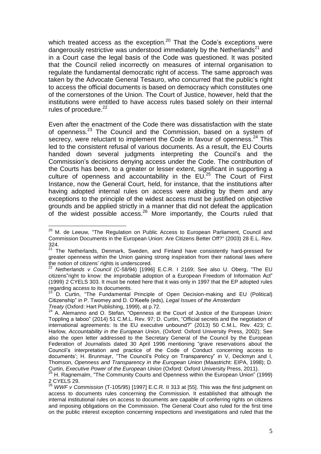which treated access as the exception.<sup>20</sup> That the Code's exceptions were dangerously restrictive was understood immediately by the Netherlands<sup>21</sup> and in a Court case the legal basis of the Code was questioned. It was posited that the Council relied incorrectly on measures of internal organisation to regulate the fundamental democratic right of access. The same approach was taken by the Advocate General Tesauro, who concurred that the public's right to access the official documents is based on democracy which constitutes one of the cornerstones of the Union. The Court of Justice, however, held that the institutions were entitled to have access rules based solely on their internal rules of procedure.<sup>22</sup>

Even after the enactment of the Code there was dissatisfaction with the state of openness.<sup>23</sup> The Council and the Commission, based on a system of secrecy, were reluctant to implement the Code in favour of openness.<sup>24</sup> This led to the consistent refusal of various documents. As a result, the EU Courts handed down several judgments interpreting the Council's and the Commission's decisions denying access under the Code. The contribution of the Courts has been, to a greater or lesser extent, significant in supporting a culture of openness and accountability in the  $EU<sup>25</sup>$  The Court of First Instance, now the General Court, held, for instance, that the institutions after having adopted internal rules on access were abiding by them and any exceptions to the principle of the widest access must be justified on objective grounds and be applied strictly in a manner that did not defeat the application of the widest possible access.<sup>26</sup> More importantly, the Courts ruled that

 $\overline{a}$  $20$  M. de Leeuw, "The Regulation on Public Access to European Parliament, Council and Commission Documents in the European Union: Are Citizens Better Off?" (2003) 28 E.L. Rev. 324.

<sup>&</sup>lt;sup>21</sup> The Netherlands, Denmark, Sweden, and Finland have consistently hard-pressed for greater openness within the Union gaining strong inspiration from their national laws where the notion of citizens' rights is underscored.

<sup>22</sup> *Netherlands v Council* (C-58/94) [1996] E.C.R. I 2169; See also U. Oberg, "The EU citizens"right to know: the improbable adoption of a European Freedom of Information Act" (1999) 2 CYELS 303. It must be noted here that it was only in 1997 that the EP adopted rules regarding access to its documents.

 $23$  D. Curtin, "The Fundamental Principle of Open Decision-making and EU (Political) Citizenship" in P. Twomey and D. O'Keefe (eds), *Legal Issues of the Amsterdam Treaty* (Oxford: Hart Publishing, 1999), at p.72.

<sup>&</sup>lt;sup>24</sup> A. Alemanno and O. Stefan, "Openness at the Court of Justice of the European Union: Toppling a taboo" (2014) 51 C.M.L. Rev. 97; D. Curtin, "Official secrets and the negotiation of international agreements: Is the EU executive unbound?" (2013) 50 C.M.L. Rev. 423; C. Harlow*, Accountability in the European Union*, (Oxford: Oxford University Press, 2002); See also the open letter addressed to the Secretary General of the Council by the European Federation of Journalists dated 30 April 1996 mentioning "grave reservations about the Council's interpretation and practice of the Code of Conduct concerning access to documents'; H. Brunmayr, "The Council's Policy on Transparency" in V, Deckmyn and I, Thomson, *Openness and Transparency in the European Union* (Maastricht: EIPA, 1998); D. Curtin, *Executive Power of the European Union* (Oxford: Oxford University Press, 2011).

<sup>&</sup>lt;sup>25</sup> H. Ragnemalm, "The Community Courts and Openness within the European Union" (1999) 2 CYELS 29.

<sup>26</sup> *WWF v Commission* (T-105/95) [1997] E.C.R. II 313 at [55]. This was the first judgment on access to documents rules concerning the Commission. It established that although the internal institutional rules on access to documents are capable of conferring rights on citizens and imposing obligations on the Commission. The General Court also ruled for the first time on the public interest exception concerning inspections and investigations and ruled that the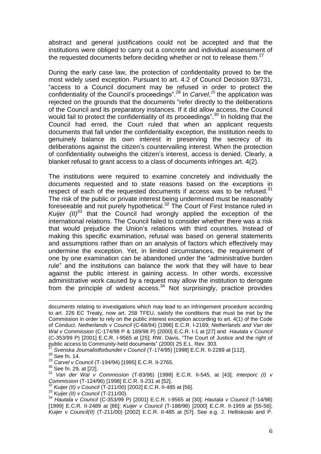abstract and general justifications could not be accepted and that the institutions were obliged to carry out a concrete and individual assessment of the requested documents before deciding whether or not to release them. $27$ 

During the early case law, the protection of confidentiality proved to be the most widely used exception. Pursuant to art. 4.2 of Council Decision 93/731, "access to a Council document may be refused in order to protect the confidentiality of the Council's proceedings". <sup>28</sup> In *Carvel*, <sup>29</sup> the application was rejected on the grounds that the documents "refer directly to the deliberations of the Council and its preparatory instances. If it did allow access, the Council would fail to protect the confidentiality of its proceedings".<sup>30</sup> In holding that the Council had erred, the Court ruled that when an applicant requests documents that fall under the confidentiality exception, the institution needs to genuinely balance its own interest in preserving the secrecy of its deliberations against the citizen's countervailing interest. When the protection of confidentiality outweighs the citizen's interest, access is denied. Clearly, a blanket refusal to grant access to a class of documents infringes art. 4(2).

The institutions were required to examine concretely and individually the documents requested and to state reasons based on the exceptions in respect of each of the requested documents if access was to be refused. $31$ The risk of the public or private interest being undermined must be reasonably foreseeable and not purely hypothetical.<sup>32</sup> The Court of First Instance ruled in *Kuijer (II)* <sup>33</sup> that the Council had wrongly applied the exception of the international relations. The Council failed to consider whether there was a risk that would prejudice the Union's relations with third countries. Instead of making this specific examination, refusal was based on general statements and assumptions rather than on an analysis of factors which effectively may undermine the exception. Yet, in limited circumstances, the requirement of one by one examination can be abandoned under the "administrative burden rule" and the institutions can balance the work that they will have to bear against the public interest in gaining access. In other words, excessive administrative work caused by a request may allow the institution to derogate from the principle of widest  $access.^{34}$  Not surprisingly, practice provides

 $\overline{a}$ 

<sup>30</sup> See fn. 29*,* at [22].

- <sup>32</sup> *Kuijer (II) v Council* (T-211/00) [2002] E.C.R. II-485 at [56].
- *<sup>33</sup> Kuijer (II) v Council* (T-211/00).

documents relating to investigations which may lead to an infringement procedure according to art. 226 EC Treaty, now art. 258 TFEU, satisfy the conditions that must be met by the Commission in order to rely on the public interest exception according to art. 4(1) of the Code of Conduct. *Netherlands v Council* (C-68/94) [1996] E.C.R. I-2169; *Netherlands and Van der Wal v Commission* (C-174/98 P & 189/98 P) [2000] E.C.R. I-1 at [27] and *Hautala v Council* (C-353/99 P) [2001] E.C.R. I-9565 at [25]; RW. Davis, "The Court of Justice and the right of public access to Community-held documents" (2000) 25 E.L. Rev. 303.

<sup>27</sup> *Svenska Journalistforbundet v Council* (T-174/95) [1998] E.C.R. II-2289 at [112].

<sup>&</sup>lt;sup>28</sup> See fn. 14.

<sup>29</sup> *Carvel v Council* (T-194/94) [1995] E.C.R. II-2765.

<sup>31</sup> *Van der Wal v Commission* (T-83/96) [1998] E.C.R. II-545, at [43]; *Interporc (I) v Commission* (T-124/96) [1998] E.C.R. II-231 at [52].

<sup>34</sup> *Hautala v Council* (C-353/99 P) [2001] E.C.R. I-9565 at [30]; *Hautala v Council* (T-14/98) [1999] E.C.R. II-2489 at [86]; *Kuijer v Council* (T-188/98) [2000] E.C.R. II-1959 at [55-56]; *Kuijer v Council(II)* (T-211/00) [2002] E.C.R. II-485 at [57]. See e.g. J. Helliskoski and P.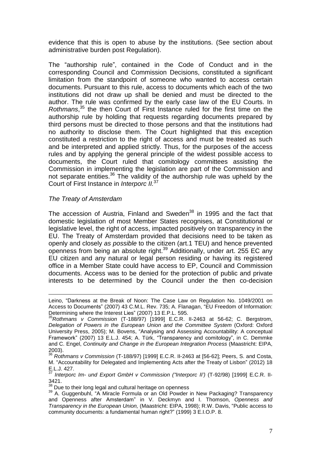evidence that this is open to abuse by the institutions. (See section about administrative burden post Regulation).

The "authorship rule", contained in the Code of Conduct and in the corresponding Council and Commission Decisions, constituted a significant limitation from the standpoint of someone who wanted to access certain documents. Pursuant to this rule, access to documents which each of the two institutions did not draw up shall be denied and must be directed to the author. The rule was confirmed by the early case law of the EU Courts. In *Rothmans*, <sup>35</sup> the then Court of First Instance ruled for the first time on the authorship rule by holding that requests regarding documents prepared by third persons must be directed to those persons and that the institutions had no authority to disclose them. The Court highlighted that this exception constituted a restriction to the right of access and must be treated as such and be interpreted and applied strictly. Thus, for the purposes of the access rules and by applying the general principle of the widest possible access to documents, the Court ruled that comitology committees assisting the Commission in implementing the legislation are part of the Commission and not separate entities. $36$  The validity of the authorship rule was upheld by the Court of First Instance in *Interporc II.*<sup>37</sup>

#### *The Treaty of Amsterdam*

 $\overline{a}$ 

The accession of Austria, Finland and Sweden<sup>38</sup> in 1995 and the fact that domestic legislation of most Member States recognises, at Constitutional or legislative level, the right of access, impacted positively on transparency in the EU. The Treaty of Amsterdam provided that decisions need to be taken as openly and closely *as possible* to the citizen (art.1 TEU) and hence prevented openness from being an absolute right.<sup>39</sup> Additionally, under art. 255 EC any EU citizen and any natural or legal person residing or having its registered office in a Member State could have access to EP, Council and Commission documents. Access was to be denied for the protection of public and private interests to be determined by the Council under the then co-decision

Leino, "Darkness at the Break of Noon: The Case Law on Regulation No. 1049/2001 on Access to Documents" (2007) 43 C.M.L. Rev. 735; A. Flanagan, "EU Freedom of Information: Determining where the Interest Lies" (2007) 13 E.P.L. 595.

<sup>35</sup>*Rothmans v Commission* (T-188/97) [1999] E.C.R. II-2463 at 56-62; C. Bergstrom, *Delegation of Powers in the European Union and the Committee System* (Oxford: Oxford University Press, 2005); M. Bovens, "Analysing and Assessing Accountability: A conceptual Framework" (2007) 13 E.L.J. 454; A. Türk, "Transparency and comitology", in C. Demmke and C. Engel, *Continuity and Change in the European Integration Process* (Maastricht: EIPA, 2003).

<sup>36</sup> *Rothmans v Commission* (T-188/97) [1999] E.C.R. II-2463 at [56-62]; Peers, S. and Costa, M. "Accountability for Delegated and Implementing Acts after the Treaty of Lisbon" (2012) 18 E.L.J. 427.

<sup>37</sup> *Interporc Im- und Export GmbH v Commission ("Interporc II')* (T-92/98) [1999] E.C.R. II-3421.

<sup>&</sup>lt;sup>38</sup> Due to their long legal and cultural heritage on openness

<sup>39</sup> A. Guggenbuhl, "A Miracle Formula or an Old Powder in New Packaging? Transparency and Openness after Amsterdam" in V. Deckmyn and I. Thomson, *Openness and Transparency in the European Union,* (Maastricht: EIPA, 1998); R.W. Davis, "Public access to community documents: a fundamental human right?" (1999) 3 E.I.O.P. 8.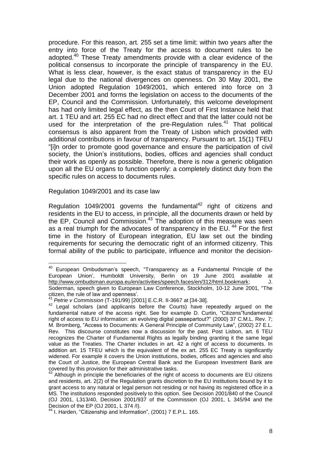procedure. For this reason, art. 255 set a time limit: within two years after the entry into force of the Treaty for the access to document rules to be adopted.<sup>40</sup> These Treaty amendments provide with a clear evidence of the political consensus to incorporate the principle of transparency in the EU. What is less clear, however, is the exact status of transparency in the EU legal due to the national divergences on openness. On 30 May 2001, the Union adopted Regulation 1049/2001, which entered into force on 3 December 2001 and forms the legislation on access to the documents of the EP, Council and the Commission. Unfortunately, this welcome development has had only limited legal effect, as the then Court of First Instance held that art. 1 TEU and art. 255 EC had no direct effect and that the latter could not be used for the interpretation of the pre-Regulation rules.<sup>41</sup> That political consensus is also apparent from the Treaty of Lisbon which provided with additional contributions in favour of transparency. Pursuant to art. 15(1) TFEU "[i]n order to promote good governance and ensure the participation of civil society, the Union's institutions, bodies, offices and agencies shall conduct their work as openly as possible. Therefore, there is now a generic obligation upon all the EU organs to function openly: a completely distinct duty from the specific rules on access to documents rules.

Regulation 1049/2001 and its case law

Regulation 1049/2001 governs the fundamental $42$  right of citizens and residents in the EU to access, in principle, all the documents drawn or held by the EP, Council and Commission.<sup>43</sup> The adoption of this measure was seen as a real triumph for the advocates of transparency in the EU.<sup>44</sup> For the first time in the history of European integration, EU law set out the binding requirements for securing the democratic right of an informed citizenry. This formal ability of the public to participate, influence and monitor the decision-

 $\overline{\phantom{a}}$ <sup>40</sup> European Ombudsman's speech, "Transparency as a Fundamental Principle of the European Union', Humboldt University, Berlin on 19 June 2001 available at [http://www.ombudsman.europa.eu/en/activities/speech.faces/en/312/html.bookmark;](http://www.ombudsman.europa.eu/en/activities/speech.faces/en/312/html.bookmark) J. Soderman, speech given to European Law Conference, Stockholm, 10-12 June 2001, "The citizen, the rule of law and openness'.

<sup>41</sup> *Petrie v Commission* (T-191/99) [2001] E.C.R. II-3667 at [34-38].

<sup>&</sup>lt;sup>42</sup> Legal scholars (and applicants before the Courts) have repeatedly argued on the fundamental nature of the access right. See for example D. Curtin, "Citizens"fundamental right of access to EU information: an evolving digital passepartout?" (2000) 37 C.M.L. Rev. 7; M. Bromberg, "Access to Documents: A General Principle of Community Law", (2002) 27 E.L. Rev. This discourse constitutes now a discussion for the past. Post Lisbon, art. 6 TEU recognizes the Charter of Fundamental Rights as legally binding granting it the same legal value as the Treaties. The Charter includes in art. 42 a right of access to documents. In addition art. 15 TFEU which is the equivalent of the ex art. 255 EC Treaty is significantly widened. For example it covers the Union institutions, bodies, offices and agencies and also the Court of Justice, the European Central Bank and the European Investment Bank are covered by this provision for their administrative tasks.

Although in principle the beneficiaries of the right of access to documents are EU citizens and residents, art. 2(2) of the Regulation grants discretion to the EU institutions bound by it to grant access to any natural or legal person not residing or not having its registered office in a MS. The institutions responded positively to this option. See Decision 2001/840 of the Council (OJ 2001, L313/40, Decision 2001/937 of the Commission (OJ 2001, L 345/94 and the Decision of the EP (OJ 2001, L 374 /I).

<sup>&</sup>lt;sup>44</sup> I. Harden, "Citizenship and Information", (2001) 7 E.P.L. 165.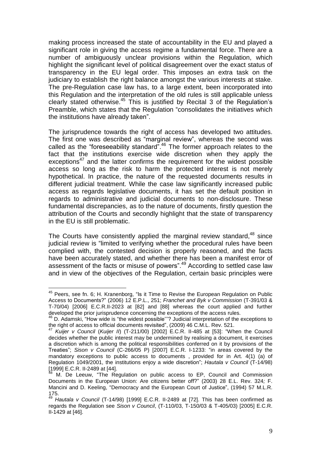making process increased the state of accountability in the EU and played a significant role in giving the access regime a fundamental force. There are a number of ambiguously unclear provisions within the Regulation, which highlight the significant level of political disagreement over the exact status of transparency in the EU legal order. This imposes an extra task on the judiciary to establish the right balance amongst the various interests at stake. The pre-Regulation case law has, to a large extent, been incorporated into this Regulation and the interpretation of the old rules is still applicable unless clearly stated otherwise.<sup>45</sup> This is justified by Recital 3 of the Regulation's Preamble, which states that the Regulation "consolidates the initiatives which the institutions have already taken".

The jurisprudence towards the right of access has developed two attitudes. The first one was described as "marginal review", whereas the second was called as the "foreseeability standard".<sup>46</sup> The former approach relates to the fact that the institutions exercise wide discretion when they apply the exceptions<sup>47</sup> and the latter confirms the requirement for the widest possible access so long as the risk to harm the protected interest is not merely hypothetical. In practice, the nature of the requested documents results in different judicial treatment. While the case law significantly increased public access as regards legislative documents, it has set the default position in regards to administrative and judicial documents to non-disclosure. These fundamental discrepancies, as to the nature of documents, firstly question the attribution of the Courts and secondly highlight that the state of transparency in the EU is still problematic.

The Courts have consistently applied the marginal review standard,  $48$  since judicial review is "limited to verifying whether the procedural rules have been complied with, the contested decision is properly reasoned, and the facts have been accurately stated, and whether there has been a manifest error of assessment of the facts or misuse of powers".<sup>49</sup> According to settled case law and in view of the objectives of the Regulation, certain basic principles were

<sup>&</sup>lt;sup>45</sup> Peers, see fn. 6; H. Kranenborg, "Is it Time to Revise the European Regulation on Public Access to Documents?" (2006) 12 E.P.L., 251; *Franchet and Byk v Commission* (T-391/03 & T-70/04) [2006] E.C.R.II-2023 at [82] and [88] whereas the court applied and further developed the prior jurisprudence concerning the exceptions of the access rules.

<sup>46</sup> D. Adamski, "How wide is "the widest possible'''? Judicial interpretation of the exceptions to the right of access to official documents revisited", (2009) 46 C.M.L. Rev. 521.

<sup>47</sup> *Kuijer v Council* (*Kuijer II*) (T-211/00) [2002] E.C.R. II-485 at [53]: "When the Council decides whether the public interest may be undermined by realising a document, it exercises a discretion which is among the political responsibilities conferred on it by provisions of the Treaties"; *Sison v Council* (C-266/05 P) [2007] E.C.R. I-1233: "in areas covered by the mandatory exceptions to public access to documents , provided for in Art. 4(1) (a) of Regulation 1049/2001, the institutions enjoy a wide discretion"; *Hautala v Council* (T-14/98) [1999] E.C.R. II-2489 at [44].

M. De Leeuw, "The Regulation on public access to EP, Council and Commission Documents in the European Union: Are citizens better off?" (2003) 28 E.L. Rev. 324*;* F. Mancini and D. Keeling, "Democracy and the European Court of Justice", (1994) 57 M.L.R.  $175.49 L$ 

<sup>49</sup> *Hautala v Council* (T-14/98) [1999] E.C.R. II-2489 at [72]. This has been confirmed as regards the Regulation see *Sison v Council*, (T-110/03, T-150/03 & T-405/03) [2005] E.C.R. II-1429 at [46].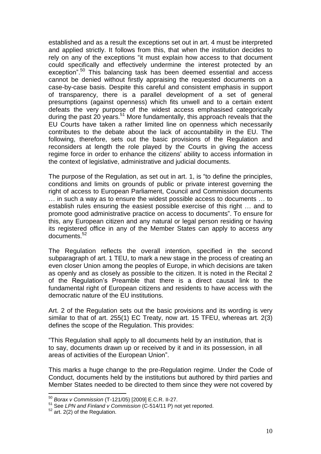established and as a result the exceptions set out in art. 4 must be interpreted and applied strictly. It follows from this, that when the institution decides to rely on any of the exceptions "it must explain how access to that document could specifically and effectively undermine the interest protected by an exception".<sup>50</sup> This balancing task has been deemed essential and access cannot be denied without firstly appraising the requested documents on a case-by-case basis. Despite this careful and consistent emphasis in support of transparency, there is a parallel development of a set of general presumptions (against openness) which fits unwell and to a certain extent defeats the very purpose of the widest access emphasised categorically during the past 20 years.<sup>51</sup> More fundamentally, this approach reveals that the EU Courts have taken a rather limited line on openness which necessarily contributes to the debate about the lack of accountability in the EU. The following, therefore, sets out the basic provisions of the Regulation and reconsiders at length the role played by the Courts in giving the access regime force in order to enhance the citizens' ability to access information in the context of legislative, administrative and judicial documents.

The purpose of the Regulation, as set out in art. 1, is "to define the principles, conditions and limits on grounds of public or private interest governing the right of access to European Parliament, Council and Commission documents … in such a way as to ensure the widest possible access to documents … to establish rules ensuring the easiest possible exercise of this right … and to promote good administrative practice on access to documents". To ensure for this, any European citizen and any natural or legal person residing or having its registered office in any of the Member States can apply to access any documents.<sup>52</sup>

The Regulation reflects the overall intention, specified in the second subparagraph of art. 1 TEU, to mark a new stage in the process of creating an even closer Union among the peoples of Europe, in which decisions are taken as openly and as closely as possible to the citizen. It is noted in the Recital 2 of the Regulation's Preamble that there is a direct causal link to the fundamental right of European citizens and residents to have access with the democratic nature of the EU institutions.

Art. 2 of the Regulation sets out the basic provisions and its wording is very similar to that of art. 255(1) EC Treaty, now art. 15 TFEU, whereas art. 2(3) defines the scope of the Regulation. This provides:

"This Regulation shall apply to all documents held by an institution, that is to say, documents drawn up or received by it and in its possession, in all areas of activities of the European Union".

This marks a huge change to the pre-Regulation regime. Under the Code of Conduct, documents held by the institutions but authored by third parties and Member States needed to be directed to them since they were not covered by

<sup>50</sup> *Borax v Commission* (T-121/05) [2009] E.C.R. II-27.

<sup>51</sup> See *LPN and Finland v Commission* (C-514/11 P) not yet reported.

 $52$  art. 2(2) of the Regulation.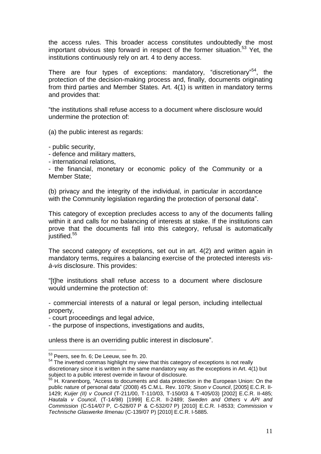the access rules. This broader access constitutes undoubtedly the most important obvious step forward in respect of the former situation.<sup>53</sup> Yet, the institutions continuously rely on art. 4 to deny access.

There are four types of exceptions: mandatory, "discretionary"<sup>54</sup>, the protection of the decision-making process and, finally, documents originating from third parties and Member States. Art. 4(1) is written in mandatory terms and provides that:

"the institutions shall refuse access to a document where disclosure would undermine the protection of:

(a) the public interest as regards:

- public security,

- defence and military matters,

- international relations,

- the financial, monetary or economic policy of the Community or a Member State;

(b) privacy and the integrity of the individual, in particular in accordance with the Community legislation regarding the protection of personal data".

This category of exception precludes access to any of the documents falling within it and calls for no balancing of interests at stake. If the institutions can prove that the documents fall into this category, refusal is automatically justified.<sup>55</sup>

The second category of exceptions, set out in art. 4(2) and written again in mandatory terms, requires a balancing exercise of the protected interests *visà-vis* disclosure. This provides:

"[t]he institutions shall refuse access to a document where disclosure would undermine the protection of:

- commercial interests of a natural or legal person, including intellectual property,

- court proceedings and legal advice,

- the purpose of inspections, investigations and audits,

unless there is an overriding public interest in disclosure".

 $53$  Peers, see fn. 6; De Leeuw, see fn. 20.

 $54$  The inverted commas highlight my view that this category of exceptions is not really discretionary since it is written in the same mandatory way as the exceptions in Art. 4(1) but subject to a public interest override in favour of disclosure.

<sup>&</sup>lt;sup>55</sup> H. Kranenborg, "Access to documents and data protection in the European Union: On the public nature of personal data" (2008) 45 C.M.L. Rev. 1079; *Sison v Council*, [2005] E.C.R. II-1429; *Kuijer (II) v Council* (T-211/00, T-110/03, T-150/03 & T-405/03) [2002] E.C.R. II-485; *Hautala v Council*, (T-14/98) [1999] E.C.R. II-2489; *Sweden and Others* v *API and Commission* (C-514/07 P, C-528/07 P & C-532/07 P) [2010] E.C.R. I-8533; *Commission* v *Technische Glaswerke Ilmenau* (C-139/07 P) [2010] E.C.R. I-5885.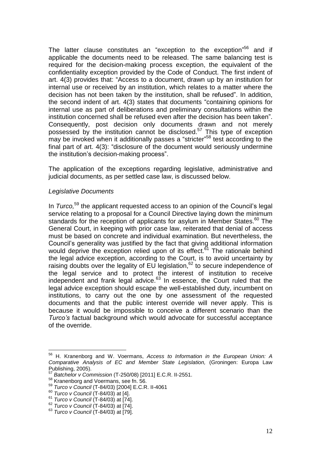The latter clause constitutes an "exception to the exception"<sup>56</sup> and if applicable the documents need to be released. The same balancing test is required for the decision-making process exception, the equivalent of the confidentiality exception provided by the Code of Conduct. The first indent of art. 4(3) provides that: "Access to a document, drawn up by an institution for internal use or received by an institution, which relates to a matter where the decision has not been taken by the institution, shall be refused". In addition, the second indent of art. 4(3) states that documents "containing opinions for internal use as part of deliberations and preliminary consultations within the institution concerned shall be refused even after the decision has been taken". Consequently, post decision only documents drawn and not merely possessed by the institution cannot be disclosed.<sup>57</sup> This type of exception may be invoked when it additionally passes a "stricter"<sup>58</sup> test according to the final part of art. 4(3): "disclosure of the document would seriously undermine the institution's decision-making process".

The application of the exceptions regarding legislative, administrative and judicial documents, as per settled case law, is discussed below.

# *Legislative Documents*

In *Turco,*<sup>59</sup> the applicant requested access to an opinion of the Council's legal service relating to a proposal for a Council Directive laying down the minimum standards for the reception of applicants for asylum in Member States.<sup>60</sup> The General Court, in keeping with prior case law, reiterated that denial of access must be based on concrete and individual examination. But nevertheless, the Council's generality was justified by the fact that giving additional information would deprive the exception relied upon of its effect. $61$  The rationale behind the legal advice exception, according to the Court, is to avoid uncertainty by raising doubts over the legality of EU legislation,<sup>62</sup> to secure independence of the legal service and to protect the interest of institution to receive independent and frank legal advice. $63$  In essence, the Court ruled that the legal advice exception should escape the well-established duty, incumbent on institutions, to carry out the one by one assessment of the requested documents and that the public interest override will never apply. This is because it would be impossible to conceive a different scenario than the *Turco's* factual background which would advocate for successful acceptance of the override.

<sup>56</sup> H. Kranenborg and W. Voermans, *Access to Information in the European Union: A Comparative Analysis of EC and Member State Legislation,* (Groningen: Europa Law Publishing, 2005).

<sup>57</sup> *Batchelor v Commission* (T-250/08) [2011] E.C.R. II-2551.

<sup>&</sup>lt;sup>58</sup> Kranenborg and Voermans, see fn. 56.

<sup>59</sup> *Turco v Council* (T-84/03) [2004] E.C.R. II-4061

<sup>60</sup> *Turco v Council* (T-84/03) at [4].

<sup>61</sup> *Turco v Council* (T-84/03) at [74].

<sup>62</sup> *Turco v Council* (T-84/03) at [74].

<sup>63</sup> *Turco v Council* (T-84/03) at [79].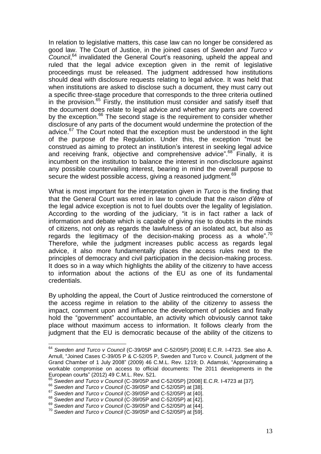In relation to legislative matters, this case law can no longer be considered as good law. The Court of Justice, in the joined cases of *Sweden and Turco v Council*, <sup>64</sup> invalidated the General Court's reasoning, upheld the appeal and ruled that the legal advice exception given in the remit of legislative proceedings must be released. The judgment addressed how institutions should deal with disclosure requests relating to legal advice. It was held that when institutions are asked to disclose such a document, they must carry out a specific three-stage procedure that corresponds to the three criteria outlined in the provision. $65$  Firstly, the institution must consider and satisfy itself that the document does relate to legal advice and whether any parts are covered by the exception.<sup>66</sup> The second stage is the requirement to consider whether disclosure of any parts of the document would undermine the protection of the advice. $67$  The Court noted that the exception must be understood in the light of the purpose of the Regulation. Under this, the exception "must be construed as aiming to protect an institution's interest in seeking legal advice and receiving frank, objective and comprehensive advice".<sup>68</sup> Finally, it is incumbent on the institution to balance the interest in non-disclosure against any possible countervailing interest, bearing in mind the overall purpose to secure the widest possible access, giving a reasoned judgment.<sup>69</sup>

What is most important for the interpretation given in *Turco* is the finding that that the General Court was erred in law to conclude that the *raison d'être* of the legal advice exception is not to fuel doubts over the legality of legislation. According to the wording of the judiciary, "it is in fact rather a lack of information and debate which is capable of giving rise to doubts in the minds of citizens, not only as regards the lawfulness of an isolated act, but also as regards the legitimacy of the decision-making process as a whole". $70$ Therefore, while the judgment increases public access as regards legal advice, it also more fundamentally places the access rules next to the principles of democracy and civil participation in the decision-making process. It does so in a way which highlights the ability of the citizenry to have access to information about the actions of the EU as one of its fundamental credentials.

By upholding the appeal, the Court of Justice reintroduced the cornerstone of the access regime in relation to the ability of the citizenry to assess the impact, comment upon and influence the development of policies and finally hold the "government" accountable, an activity which obviously cannot take place without maximum access to information. It follows clearly from the judgment that the EU is democratic because of the ability of the citizens to

<sup>64</sup> *Sweden and Turco v Council* (C-39/05P and C-52/05P) [2008] E.C.R. I-4723. See also A. Arnull, "Joined Cases C-39/05 P & C-52/05 P, Sweden and Turco v. Council, judgment of the Grand Chamber of 1 July 2008" (2009) 46 C.M.L. Rev. 1219; D. Adamski, "Approximating a workable compromise on access to official documents: The 2011 developments in the European courts" (2012) 49 C.M.L. Rev. 521.

<sup>65</sup> *Sweden and Turco v Council* (C-39/05P and C-52/05P) [2008] E.C.R. I-4723 at [37].

<sup>66</sup> *Sweden and Turco v Council* (C-39/05P and C-52/05P) at [38].

<sup>67</sup> *Sweden and Turco v Council* (C-39/05P and C-52/05P) at [40].

<sup>68</sup> *Sweden and Turco v Council* (C-39/05P and C-52/05P) at [42].

<sup>69</sup> *Sweden and Turco v Council* (C-39/05P and C-52/05P) at [44].

<sup>70</sup> *Sweden and Turco v Council* (C-39/05P and C-52/05P) at [59].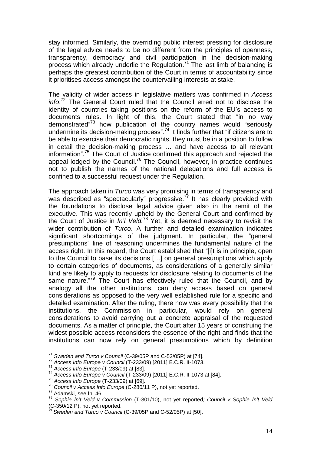stay informed. Similarly, the overriding public interest pressing for disclosure of the legal advice needs to be no different from the principles of openness, transparency, democracy and civil participation in the decision-making process which already underlie the Regulation.<sup>71</sup> The last limb of balancing is perhaps the greatest contribution of the Court in terms of accountability since it prioritises access amongst the countervailing interests at stake.

The validity of wider access in legislative matters was confirmed in *Access info*. <sup>72</sup> The General Court ruled that the Council erred not to disclose the identity of countries taking positions on the reform of the EU's access to documents rules. In light of this, the Court stated that "in no way demonstrated"<sup>73</sup> how publication of the country names would "seriously undermine its decision-making process".<sup>74</sup> It finds further that "if citizens are to be able to exercise their democratic rights, they must be in a position to follow in detail the decision-making process … and have access to all relevant information". <sup>75</sup> The Court of Justice confirmed this approach and rejected the appeal lodged by the Council.<sup>76</sup> The Council, however, in practice continues not to publish the names of the national delegations and full access is confined to a successful request under the Regulation.

The approach taken in *Turco* was very promising in terms of transparency and was described as "spectacularly" progressive. $\frac{1}{7}$  It has clearly provided with the foundations to disclose legal advice given also in the remit of the executive. This was recently upheld by the General Court and confirmed by the Court of Justice in *In't Veld.*<sup>78</sup> Yet, it is deemed necessary to revisit the wider contribution of *Turco*. A further and detailed examination indicates significant shortcomings of the judgment. In particular, the "general presumptions" line of reasoning undermines the fundamental nature of the access right. In this regard, the Court established that "[i]t is in principle, open to the Council to base its decisions […] on general presumptions which apply to certain categories of documents, as considerations of a generally similar kind are likely to apply to requests for disclosure relating to documents of the same nature."<sup>79</sup> The Court has effectively ruled that the Council, and by analogy all the other institutions, can deny access based on general considerations as opposed to the very well established rule for a specific and detailed examination. After the ruling, there now was every possibility that the institutions, the Commission in particular, would rely on general considerations to avoid carrying out a concrete appraisal of the requested documents. As a matter of principle, the Court after 15 years of construing the widest possible access reconsiders the essence of the right and finds that the institutions can now rely on general presumptions which by definition

<sup>72</sup> *Access Info Europe v Council* (T-233/09) [2011] E.C.R. II-1073.

 $\overline{a}$ <sup>71</sup> *Sweden and Turco v Council* (C-39/05P and C-52/05P) at [74].

<sup>73</sup> *Access Info Europe* (T-233/09) at [83].

<sup>74</sup> *Access Info Europe v Council* (T-233/09) [2011] E.C.R. II-1073 at [84].

<sup>75</sup> *Access Info Europe* (T-233/09) at [69].

<sup>76</sup> *Council v Access Info Europe* (C-280/11 P), not yet reported.

<sup>77</sup> Adamski, see fn. 46.

<sup>78</sup> *Sophie In't Veld v Commission* (T-301/10), not yet reported*; Council v Sophie In't Veld* (C-350/12 P), not yet reported.

<sup>79</sup> *Sweden and Turco v Council* (C-39/05P and C-52/05P) at [50].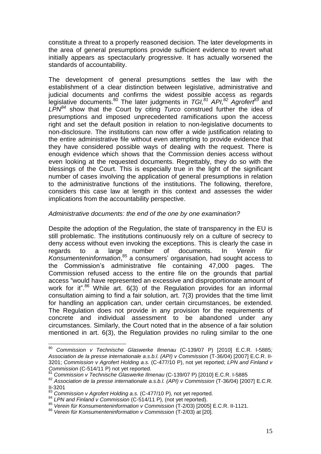constitute a threat to a properly reasoned decision. The later developments in the area of general presumptions provide sufficient evidence to revert what initially appears as spectacularly progressive. It has actually worsened the standards of accountability.

The development of general presumptions settles the law with the establishment of a clear distinction between legislative, administrative and judicial documents and confirms the widest possible access as regards legislative documents.<sup>80</sup> The later judgments in *TGI,<sup>81</sup> API,<sup>82</sup> Agrofert<sup>83</sup>* and *LPN<sup>84</sup>* show that the Court by citing *Turco* construed further the idea of presumptions and imposed unprecedented ramifications upon the access right and set the default position in relation to non-legislative documents to non-disclosure. The institutions can now offer a wide justification relating to the entire administrative file without even attempting to provide evidence that they have considered possible ways of dealing with the request. There is enough evidence which shows that the Commission denies access without even looking at the requested documents. Regrettably, they do so with the blessings of the Court. This is especially true in the light of the significant number of cases involving the application of general presumptions in relation to the administrative functions of the institutions. The following, therefore, considers this case law at length in this context and assesses the wider implications from the accountability perspective.

#### *Administrative documents: the end of the one by one examination?*

Despite the adoption of the Regulation, the state of transparency in the EU is still problematic. The institutions continuously rely on a culture of secrecy to deny access without even invoking the exceptions. This is clearly the case in regards to a large number of documents. In *Verein für Konsumenteninformation*, <sup>85</sup> a consumers' organisation, had sought access to the Commission's administrative file containing 47,000 pages. The Commission refused access to the entire file on the grounds that partial access "would have represented an excessive and disproportionate amount of work for it".<sup>86</sup> While art. 6(3) of the Regulation provides for an informal consultation aiming to find a fair solution, art. 7(3) provides that the time limit for handling an application can, under certain circumstances, be extended. The Regulation does not provide in any provision for the requirements of concrete and individual assessment to be abandoned under any circumstances. Similarly, the Court noted that in the absence of a fair solution mentioned in art. 6(3), the Regulation provides no ruling similar to the one

<sup>80</sup> <sup>80</sup> *Commission v Technische Glaswerke Ilmenau* (C-139/07 P) [2010] E.C.R. I-5885*; Association de la presse internationale a.s.b.l. (API) v Commission* (T-36/04) [2007] E.C.R. II-3201; *Commission v Agrofert Holding a.s.* (C-477/10 P), not yet reported; *LPN and Finland v Commission* (C-514/11 P) not yet reported.

<sup>81</sup> *Commission v Technische Glaswerke Ilmenau* (C-139/07 P) [2010] E.C.R. I-5885

<sup>82</sup> *Association de la presse internationale a.s.b.l. (API) v Commission* (T-36/04) [2007] E.C.R. II-3201

<sup>83</sup> *Commission v Agrofert Holding a.s.* (C-477/10 P), not yet reported.

<sup>84</sup> *LPN and Finland v Commission* (C-514/11 P), (not yet reported).

<sup>85</sup> *Verein für Konsumenteninformation v Commission* (T-2/03) [2005] E.C.R. II-1121.

<sup>86</sup> *Verein für Konsumenteninformation v Commission* (T-2/03) at [20].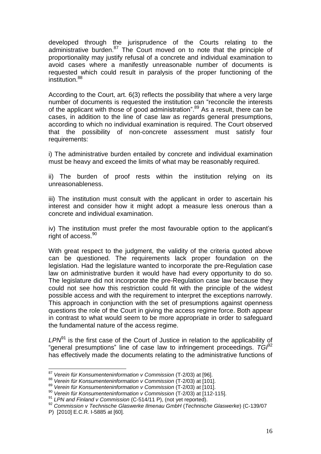developed through the jurisprudence of the Courts relating to the administrative burden. $87$  The Court moved on to note that the principle of proportionality may justify refusal of a concrete and individual examination to avoid cases where a manifestly unreasonable number of documents is requested which could result in paralysis of the proper functioning of the institution.<sup>88</sup>

According to the Court, art. 6(3) reflects the possibility that where a very large number of documents is requested the institution can "reconcile the interests of the applicant with those of good administration".<sup>89</sup> As a result, there can be cases, in addition to the line of case law as regards general presumptions, according to which no individual examination is required. The Court observed that the possibility of non-concrete assessment must satisfy four requirements:

i) The administrative burden entailed by concrete and individual examination must be heavy and exceed the limits of what may be reasonably required.

ii) The burden of proof rests within the institution relying on its unreasonableness.

iii) The institution must consult with the applicant in order to ascertain his interest and consider how it might adopt a measure less onerous than a concrete and individual examination.

iv) The institution must prefer the most favourable option to the applicant's right of access.<sup>90</sup>

With great respect to the judgment, the validity of the criteria quoted above can be questioned. The requirements lack proper foundation on the legislation. Had the legislature wanted to incorporate the pre-Regulation case law on administrative burden it would have had every opportunity to do so. The legislature did not incorporate the pre-Regulation case law because they could not see how this restriction could fit with the principle of the widest possible access and with the requirement to interpret the exceptions narrowly. This approach in conjunction with the set of presumptions against openness questions the role of the Court in giving the access regime force. Both appear in contrast to what would seem to be more appropriate in order to safeguard the fundamental nature of the access regime.

*LPN*<sup>91</sup> is the first case of the Court of Justice in relation to the applicability of "general presumptions" line of case law to infringement proceedings.  $T G^{\beta 2}$ has effectively made the documents relating to the administrative functions of

 $\overline{\phantom{a}}$ 

<sup>87</sup> *Verein für Konsumenteninformation v Commission* (T-2/03) at [96].

<sup>88</sup> *Verein für Konsumenteninformation v Commission* (T-2/03) at [101].

<sup>89</sup> *Verein für Konsumenteninformation v Commission* (T-2/03) at [101].

<sup>90</sup> *Verein für Konsumenteninformation v Commission* (T-2/03) at [112-115].

<sup>91</sup> *LPN and Finland v Commission* (C-514/11 P), (not yet reported).

<sup>92</sup> *Commission v Technische Glaswerke Ilmenau GmbH* (*Technische Glaswerke*) (C-139/07

P) [2010] E.C.R. I-5885 at [60].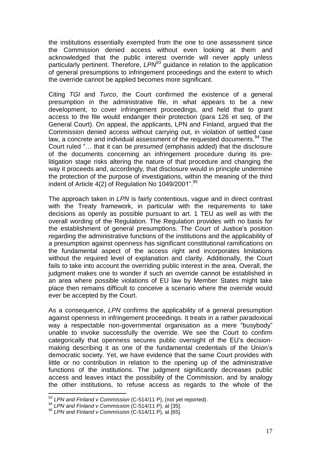the institutions essentially exempted from the one to one assessment since the Commission denied access without even looking at them and acknowledged that the public interest override will never apply unless particularly pertinent. Therefore, *LPN<sup>93</sup>* guidance in relation to the application of general presumptions to infringement proceedings and the extent to which the override cannot be applied becomes more significant.

Citing *TGI* and *Turco*, the Court confirmed the existence of a general presumption in the administrative file, in what appears to be a new development, to cover infringement proceedings, and held that to grant access to the file would endanger their protection (para 126 et seq. of the General Court). On appeal, the applicants, LPN and Finland, argued that the Commission denied access without carrying out, in violation of settled case law, a concrete and individual assessment of the requested documents.<sup>94</sup> The Court ruled "… that it can be *presumed* (emphasis added) that the disclosure of the documents concerning an infringement procedure during its prelitigation stage risks altering the nature of that procedure and changing the way it proceeds and, accordingly, that disclosure would in principle undermine the protection of the purpose of investigations, within the meaning of the third indent of Article 4(2) of Regulation No 1049/2001".<sup>95</sup>

The approach taken in *LPN* is fairly contentious, vague and in direct contrast with the Treaty framework, in particular with the requirements to take decisions as openly as possible pursuant to art. 1 TEU as well as with the overall wording of the Regulation. The Regulation provides with no basis for the establishment of general presumptions. The Court of Justice's position regarding the administrative functions of the institutions and the applicability of a presumption against openness has significant constitutional ramifications on the fundamental aspect of the access right and incorporates limitations without the required level of explanation and clarity. Additionally, the Court fails to take into account the overriding public interest in the area. Overall, the judgment makes one to wonder if such an override cannot be established in an area where possible violations of EU law by Member States might take place then remains difficult to conceive a scenario where the override would ever be accepted by the Court.

As a consequence, *LPN* confirms the applicability of a general presumption against openness in infringement proceedings. It treats in a rather paradoxical way a respectable non-governmental organisation as a mere "busybody" unable to invoke successfully the override. We see the Court to confirm categorically that openness secures public oversight of the EU's decisionmaking describing it as one of the fundamental credentials of the Union's democratic society. Yet, we have evidence that the same Court provides with little or no contribution in relation to the opening up of the administrative functions of the institutions. The judgment significantly decreases public access and leaves intact the possibility of the Commission, and by analogy the other institutions, to refuse access as regards to the whole of the

<sup>93</sup> *LPN and Finland v Commission* (C-514/11 P), (not yet reported).

<sup>94</sup> *LPN and Finland v Commission* (C-514/11 P), at [35].

<sup>95</sup> *LPN and Finland v Commission* (C-514/11 P), at [65].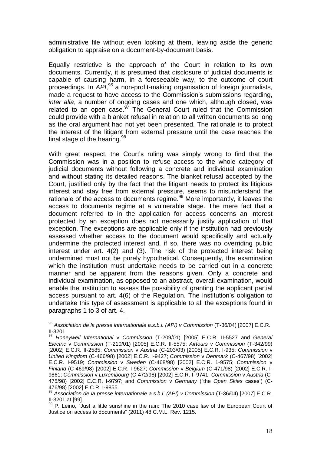administrative file without even looking at them, leaving aside the generic obligation to appraise on a document-by-document basis.

Equally restrictive is the approach of the Court in relation to its own documents. Currently, it is presumed that disclosure of judicial documents is capable of causing harm, in a foreseeable way, to the outcome of court proceedings. In *API*, *<sup>96</sup>* a non-profit-making organisation of foreign journalists, made a request to have access to the Commission's submissions regarding, *inter alia*, a number of ongoing cases and one which, although closed, was related to an open case. $^{97}$  The General Court ruled that the Commission could provide with a blanket refusal in relation to all written documents so long as the oral argument had not yet been presented. The rationale is to protect the interest of the litigant from external pressure until the case reaches the final stage of the hearing.  $98$ 

With great respect, the Court's ruling was simply wrong to find that the Commission was in a position to refuse access to the whole category of judicial documents without following a concrete and individual examination and without stating its detailed reasons. The blanket refusal accepted by the Court, justified only by the fact that the litigant needs to protect its litigious interest and stay free from external pressure, seems to misunderstand the rationale of the access to documents regime.<sup>99</sup> More importantly, it leaves the access to documents regime at a vulnerable stage. The mere fact that a document referred to in the application for access concerns an interest protected by an exception does not necessarily justify application of that exception. The exceptions are applicable only if the institution had previously assessed whether access to the document would specifically and actually undermine the protected interest and, if so, there was no overriding public interest under art. 4(2) and (3). The risk of the protected interest being undermined must not be purely hypothetical. Consequently, the examination which the institution must undertake needs to be carried out in a concrete manner and be apparent from the reasons given. Only a concrete and individual examination, as opposed to an abstract, overall examination, would enable the institution to assess the possibility of granting the applicant partial access pursuant to art. 4(6) of the Regulation. The institution's obligation to undertake this type of assessment is applicable to all the exceptions found in paragraphs 1 to 3 of art. 4.

<sup>96</sup> *Association de la presse internationale a.s.b.l. (API) v Commission* (T-36/04) [2007] E.C.R.  $\frac{11}{97}$ -3201

<sup>97</sup> *Honeywell International* v *Commission* (T-209/01) [2005] E.C.R. II-5527 and *General Electric* v *Commission* (T-210/01) [2005] E.C.R. II-5575; *Airtours v Commission* (T-342/99) [2002] E.C.R. II-2585; *Commission* v *Austria* (C-203/03) [2005] E.C.R. I-935; *Commission* v *United Kingdom* (C-466/98) [2002] E.C.R. I-9427; *Commission* v *Denmark* (C-467/98) [2002] E.C.R. I-9519; *Commission* v *Sweden* (C-468/98) [2002] E.C.R. 1-9575; *Commission* v *Finland* (C-469/98) [2002] E.C.R. I-9627; *Commission* v *Belgium* (C-471/98) [2002] E.C.R. I-9861; *Commission* v *Luxembourg* (C-472/98) [2002] E.C.R. I–9741; *Commission* v *Austria* (C-475/98) [2002] E.C.R. I-9797; and *Commission* v *Germany* ("the *Open Skies* cases') (C-476/98) [2002] E.C.R. I-9855.

<sup>98</sup> *Association de la presse internationale a.s.b.l. (API) v Commission* (T-36/04) [2007] E.C.R. II-3201 at [99].

<sup>99</sup> P. Leino, "Just a little sunshine in the rain: The 2010 case law of the European Court of Justice on access to documents" (2011) 48 C.M.L. Rev. 1215.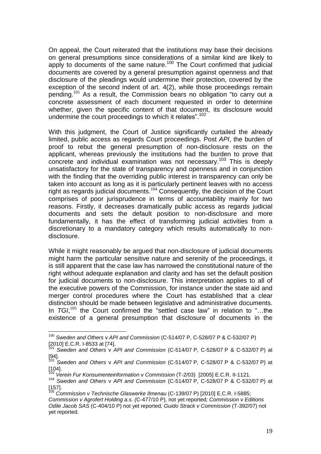On appeal, the Court reiterated that the institutions may base their decisions on general presumptions since considerations of a similar kind are likely to apply to documents of the same nature.<sup>100</sup> The Court confirmed that judicial documents are covered by a general presumption against openness and that disclosure of the pleadings would undermine their protection, covered by the exception of the second indent of art. 4(2), while those proceedings remain pending.<sup>101</sup> As a result, the Commission bears no obligation "to carry out a concrete assessment of each document requested in order to determine whether, given the specific content of that document, its disclosure would undermine the court proceedings to which it relates".<sup>102</sup>

With this judgment, the Court of Justice significantly curtailed the already limited, public access as regards Court proceedings. Post *API*, the burden of proof to rebut the general presumption of non-disclosure rests on the applicant, whereas previously the institutions had the burden to prove that concrete and individual examination was not necessary.<sup>103</sup> This is deeply unsatisfactory for the state of transparency and openness and in conjunction with the finding that the overriding public interest in transparency can only be taken into account as long as it is particularly pertinent leaves with no access right as regards judicial documents. $104$  Consequently, the decision of the Court comprises of poor jurisprudence in terms of accountability mainly for two reasons. Firstly, it decreases dramatically public access as regards judicial documents and sets the default position to non-disclosure and more fundamentally, it has the effect of transforming judicial activities from a discretionary to a mandatory category which results automatically to nondisclosure.

While it might reasonably be argued that non-disclosure of judicial documents might harm the particular sensitive nature and serenity of the proceedings, it is still apparent that the case law has narrowed the constitutional nature of the right without adequate explanation and clarity and has set the default position for judicial documents to non-disclosure. This interpretation applies to all of the executive powers of the Commission, for instance under the state aid and merger control procedures where the Court has established that a clear distinction should be made between legislative and administrative documents. In *TGI*,<sup>105</sup> the Court confirmed the "settled case law" in relation to "...the existence of a general presumption that disclosure of documents in the

<sup>100</sup> *Sweden and Others* v *API and Commission* (C-514/07 P, C-528/07 P & C-532/07 P) [2010] E.C.R. I-8533 at [74].

<sup>101</sup> *Sweden and Others* v *API and Commission* (C-514/07 P, C-528/07 P & C-532/07 P) at [94].

<sup>102</sup> *Sweden and Others* v *API and Commission* (C-514/07 P, C-528/07 P & C-532/07 P) at [104].

<sup>103</sup> *Verein Fur Konsumenteinformation v Commission* (T-2/03) [2005] E.C.R. II-1121.

<sup>104</sup> *Sweden and Others* v *API and Commission* (C-514/07 P, C-528/07 P & C-532/07 P) at [157].

<sup>105</sup> *Commission v Technische Glaswerke Ilmenau* (C-139/07 P) [2010] E.C.R. I-5885; *Commission v Agrofert Holding a.s. (*C-477/10 P), not yet reported*; Commission v Editions Odile Jacob SAS* (C-404/10 P) not yet reported*; Guido Strack v Commission* (T-392/07) not yet reported.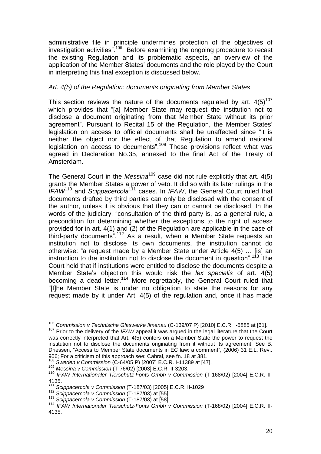administrative file in principle undermines protection of the objectives of investigation activities". $106$  Before examining the ongoing procedure to recast the existing Regulation and its problematic aspects, an overview of the application of the Member States' documents and the role played by the Court in interpreting this final exception is discussed below.

# *Art. 4(5) of the Regulation: documents originating from Member States*

This section reviews the nature of the documents regulated by art.  $4(5)^{107}$ which provides that "[a] Member State may request the institution not to disclose a document originating from that Member State without its prior agreement". Pursuant to Recital 15 of the Regulation, the Member States' legislation on access to official documents shall be unaffected since "it is neither the object nor the effect of that Regulation to amend national legislation on access to documents".<sup>108</sup> These provisions reflect what was agreed in Declaration No.35, annexed to the final Act of the Treaty of Amsterdam.

The General Court in the *Messina*<sup>109</sup> case did not rule explicitly that art. 4(5) grants the Member States a power of veto. It did so with its later rulings in the *IFAW*<sup>110</sup> and *Scippacercola*<sup>111</sup> cases. In *IFAW*, the General Court ruled that documents drafted by third parties can only be disclosed with the consent of the author, unless it is obvious that they can or cannot be disclosed. In the words of the judiciary, "consultation of the third party is, as a general rule, a precondition for determining whether the exceptions to the right of access provided for in art. 4(1) and (2) of the Regulation are applicable in the case of third-party documents".<sup>112</sup> As a result, when a Member State requests an institution not to disclose its own documents, the institution cannot do otherwise: "a request made by a Member State under Article 4(5) … [is] an instruction to the institution not to disclose the document in question".<sup>113</sup> The Court held that if institutions were entitled to disclose the documents despite a Member State's objection this would risk the *lex specialis* of art. 4(5) becoming a dead letter.<sup>114</sup> More regrettably, the General Court ruled that "[t]he Member State is under no obligation to state the reasons for any request made by it under Art. 4(5) of the regulation and, once it has made

 $\overline{a}$ <sup>106</sup> *Commission v Technische Glaswerke Ilmenau* (C-139/07 P) [2010] E.C.R. I-5885 at [61].

<sup>&</sup>lt;sup>107</sup> Prior to the delivery of the *IFAW* appeal it was argued in the legal literature that the Court was correctly interpreted that Art. 4(5) confers on a Member State the power to request the institution not to disclose the documents originating from it without its agreement. See B. Driessen, "Access to Member State documents in EC law: a comment", (2006) 31 E.L. Rev.*,* 906; For a criticism of this approach see: Cabral, see fn. 18 at 381.

<sup>108</sup> *Sweden v Commission* (C-64/05 P) [2007] E.C.R. I-11389 at [47].

*<sup>109</sup> Messina v Commission* (T-76/02) [2003] E.C.R. II-3203.

*<sup>110</sup> IFAW Internationaler Tierschutz-Fonts Gmbh v Commission* (T-168/02) [2004] E.C.R. II-4135.

*<sup>111</sup> Scippacercola v Commission* (T-187/03) [2005] E.C.R. II-1029

<sup>112</sup> *Scippacercola v Commission* (T-187/03) at [55].

<sup>113</sup> *Scippacercola v Commission* (T-187/03) at [58].

<sup>114</sup> *IFAW Internationaler Tierschutz-Fonts Gmbh v Commission* (T-168/02) [2004] E.C.R. II-4135.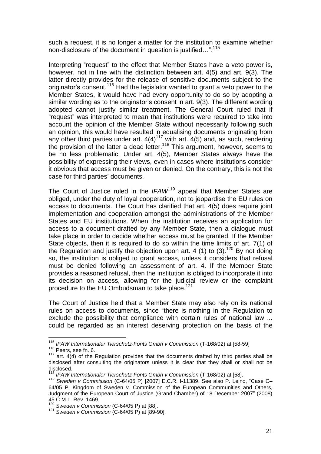such a request, it is no longer a matter for the institution to examine whether non-disclosure of the document in question is justified…". 115

Interpreting "request" to the effect that Member States have a veto power is, however, not in line with the distinction between art. 4(5) and art. 9(3). The latter directly provides for the release of sensitive documents subject to the originator's consent.<sup>116</sup> Had the legislator wanted to grant a veto power to the Member States, it would have had every opportunity to do so by adopting a similar wording as to the originator's consent in art. 9(3). The different wording adopted cannot justify similar treatment. The General Court ruled that if "request" was interpreted to mean that institutions were required to take into account the opinion of the Member State without necessarily following such an opinion, this would have resulted in equalising documents originating from any other third parties under art.  $4(4)^{117}$  with art.  $4(5)$  and, as such, rendering the provision of the latter a dead letter.<sup>118</sup> This argument, however, seems to be no less problematic. Under art. 4(5), Member States always have the possibility of expressing their views, even in cases where institutions consider it obvious that access must be given or denied. On the contrary, this is not the case for third parties' documents.

The Court of Justice ruled in the *IFAW*<sup>119</sup> appeal that Member States are obliged, under the duty of loyal cooperation, not to jeopardise the EU rules on access to documents. The Court has clarified that art. 4(5) does require joint implementation and cooperation amongst the administrations of the Member States and EU institutions. When the institution receives an application for access to a document drafted by any Member State, then a dialogue must take place in order to decide whether access must be granted. If the Member State objects, then it is required to do so within the time limits of art. 7(1) of the Regulation and justify the objection upon art. 4 (1) to  $(3)$ .<sup>120</sup> By not doing so, the institution is obliged to grant access, unless it considers that refusal must be denied following an assessment of art. 4. If the Member State provides a reasoned refusal, then the institution is obliged to incorporate it into its decision on access, allowing for the judicial review or the complaint procedure to the EU Ombudsman to take place.<sup>121</sup>

The Court of Justice held that a Member State may also rely on its national rules on access to documents, since "there is nothing in the Regulation to exclude the possibility that compliance with certain rules of national law ... could be regarded as an interest deserving protection on the basis of the

<sup>115</sup> *IFAW Internationaler Tierschutz-Fonts Gmbh v Commission* (T-168/02) at [58-59] <sup>116</sup> Peers, see fn. 6.

<sup>&</sup>lt;sup>117</sup> art. 4(4) of the Regulation provides that the documents drafted by third parties shall be disclosed after consulting the originators unless it is clear that they shall or shall not be disclosed.

<sup>118</sup> *IFAW Internationaler Tierschutz-Fonts Gmbh v Commission* (T-168/02) at [58].

*<sup>119</sup> Sweden v Commission* (C-64/05 P) [2007] E.C.R. I-11389. See also P. Leino, "Case C– 64/05 P, Kingdom of Sweden v. Commission of the European Communities and Others, Judgment of the European Court of Justice (Grand Chamber) of 18 December 2007" (2008) 45 C.M.L. Rev. 1469.

<sup>120</sup> *Sweden v Commission* (C-64/05 P) at [88].

<sup>121</sup> *Sweden v Commission* (C-64/05 P) at [89-90].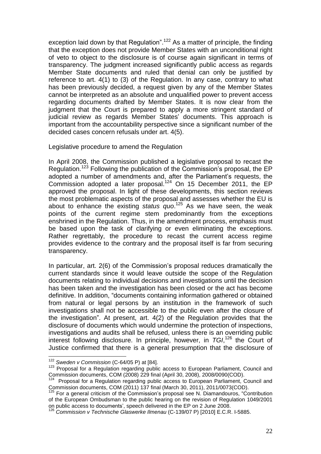exception laid down by that Regulation".<sup>122</sup> As a matter of principle, the finding that the exception does not provide Member States with an unconditional right of veto to object to the disclosure is of course again significant in terms of transparency. The judgment increased significantly public access as regards Member State documents and ruled that denial can only be justified by reference to art. 4(1) to (3) of the Regulation. In any case, contrary to what has been previously decided, a request given by any of the Member States cannot be interpreted as an absolute and unqualified power to prevent access regarding documents drafted by Member States. It is now clear from the judgment that the Court is prepared to apply a more stringent standard of judicial review as regards Member States' documents. This approach is important from the accountability perspective since a significant number of the decided cases concern refusals under art. 4(5).

Legislative procedure to amend the Regulation

In April 2008, the Commission published a legislative proposal to recast the Regulation.<sup>123</sup> Following the publication of the Commission's proposal, the EP adopted a number of amendments and, after the Parliament's requests, the Commission adopted a later proposal.<sup>124</sup> On 15 December 2011, the EP approved the proposal. In light of these developments, this section reviews the most problematic aspects of the proposal and assesses whether the EU is about to enhance the existing *status quo*. <sup>125</sup> As we have seen, the weak points of the current regime stem predominantly from the exceptions enshrined in the Regulation. Thus, in the amendment process, emphasis must be based upon the task of clarifying or even eliminating the exceptions. Rather regrettably, the procedure to recast the current access regime provides evidence to the contrary and the proposal itself is far from securing transparency.

In particular, art. 2(6) of the Commission's proposal reduces dramatically the current standards since it would leave outside the scope of the Regulation documents relating to individual decisions and investigations until the decision has been taken and the investigation has been closed or the act has become definitive. In addition, "documents containing information gathered or obtained from natural or legal persons by an institution in the framework of such investigations shall not be accessible to the public even after the closure of the investigation". At present, art. 4(2) of the Regulation provides that the disclosure of documents which would undermine the protection of inspections, investigations and audits shall be refused, unless there is an overriding public interest following disclosure. In principle, however, in *TGI*, <sup>126</sup> the Court of Justice confirmed that there is a general presumption that the disclosure of

 $\overline{a}$ <sup>122</sup> *Sweden v Commission* (C-64/05 P) at [84].

<sup>&</sup>lt;sup>123</sup> Proposal for a Regulation regarding public access to European Parliament, Council and Commission documents, COM (2008) 229 final (April 30, 2008), 2008/0090(COD).

 $124$  Proposal for a Regulation regarding public access to European Parliament, Council and Commission documents, COM (2011) 137 final (March 30, 2011), 2011/0073(COD).

<sup>&</sup>lt;sup>125</sup> For a general criticism of the Commission's proposal see N. Diamandouros, "Contribution of the European Ombudsman to the public hearing on the revision of Regulation 1049/2001 on public access to documents', speech delivered in the EP on 2 June 2008.

<sup>126</sup> *Commission v Technische Glaswerke Ilmenau* (C-139/07 P) [2010] E.C.R. I-5885.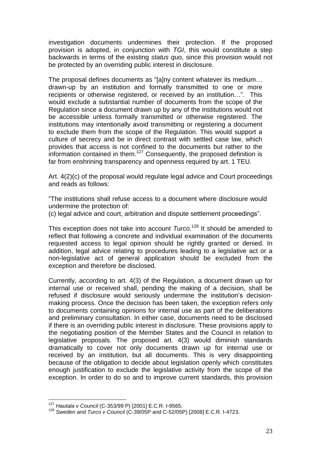investigation documents undermines their protection. If the proposed provision is adopted, in conjunction with *TGI*, this would constitute a step backwards in terms of the existing *status quo*, since this provision would not be protected by an overriding public interest in disclosure.

The proposal defines documents as "[a]ny content whatever its medium… drawn-up by an institution and formally transmitted to one or more recipients or otherwise registered, or received by an institution…". This would exclude a substantial number of documents from the scope of the Regulation since a document drawn up by any of the institutions would not be accessible unless formally transmitted or otherwise registered. The institutions may intentionally avoid transmitting or registering a document to exclude them from the scope of the Regulation. This would support a culture of secrecy and be in direct contrast with settled case law, which provides that access is not confined to the documents but rather to the information contained in them.<sup>127</sup> Consequently, the proposed definition is far from enshrining transparency and openness required by art. 1 TEU.

Art. 4(2)(c) of the proposal would regulate legal advice and Court proceedings and reads as follows:

"The institutions shall refuse access to a document where disclosure would undermine the protection of:

(c) legal advice and court, arbitration and dispute settlement proceedings".

This exception does not take into account *Turco*. <sup>128</sup> It should be amended to reflect that following a concrete and individual examination of the documents requested access to legal opinion should be rightly granted or denied. In addition, legal advice relating to procedures leading to a legislative act or a non-legislative act of general application should be excluded from the exception and therefore be disclosed.

Currently, according to art. 4(3) of the Regulation, a document drawn up for internal use or received shall, pending the making of a decision, shall be refused if disclosure would seriously undermine the institution's decisionmaking process. Once the decision has been taken, the exception refers only to documents containing opinions for internal use as part of the deliberations and preliminary consultation. In either case, documents need to be disclosed if there is an overriding public interest in disclosure. These provisions apply to the negotiating position of the Member States and the Council in relation to legislative proposals. The proposed art. 4(3) would diminish standards dramatically to cover not only documents drawn up for internal use or received by an institution, but all documents. This is very disappointing because of the obligation to decide about legislation openly which constitutes enough justification to exclude the legislative activity from the scope of the exception. In order to do so and to improve current standards, this provision

<sup>127</sup> *Hautala v Council* (C-353/99 P) [2001] E.C.R. I-9565.

<sup>128</sup> *Sweden and Turco v Council* (C-39/05P and C-52/05P) [2008] E.C.R. I-4723.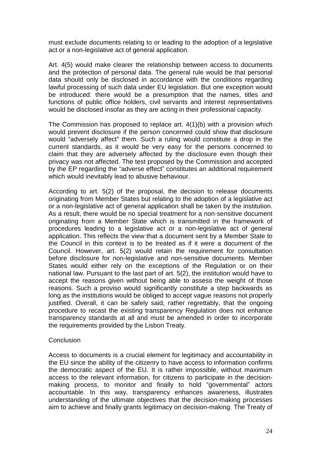must exclude documents relating to or leading to the adoption of a legislative act or a non-legislative act of general application.

Art. 4(5) would make clearer the relationship between access to documents and the protection of personal data. The general rule would be that personal data should only be disclosed in accordance with the conditions regarding lawful processing of such data under EU legislation. But one exception would be introduced: there would be a presumption that the names, titles and functions of public office holders, civil servants and interest representatives would be disclosed insofar as they are acting in their professional capacity.

The Commission has proposed to replace art. 4(1)(b) with a provision which would prevent disclosure if the person concerned could show that disclosure would "adversely affect" them. Such a ruling would constitute a drop in the current standards, as it would be very easy for the persons concerned to claim that they are adversely affected by the disclosure even though their privacy was not affected. The test proposed by the Commission and accepted by the EP regarding the "adverse effect" constitutes an additional requirement which would inevitably lead to abusive behaviour.

According to art. 5(2) of the proposal, the decision to release documents originating from Member States but relating to the adoption of a legislative act or a non-legislative act of general application shall be taken by the institution. As a result, there would be no special treatment for a non-sensitive document originating from a Member State which is transmitted in the framework of procedures leading to a legislative act or a non-legislative act of general application. This reflects the view that a document sent by a Member State to the Council in this context is to be treated as if it were a document of the Council. However, art. 5(2) would retain the requirement for consultation before disclosure for non-legislative and non-sensitive documents. Member States would either rely on the exceptions of the Regulation or on their national law. Pursuant to the last part of art. 5(2), the institution would have to accept the reasons given without being able to assess the weight of those reasons. Such a proviso would significantly constitute a step backwards as long as the institutions would be obliged to accept vague reasons not properly justified. Overall, it can be safely said, rather regrettably, that the ongoing procedure to recast the existing transparency Regulation does not enhance transparency standards at all and must be amended in order to incorporate the requirements provided by the Lisbon Treaty.

#### **Conclusion**

Access to documents is a crucial element for legitimacy and accountability in the EU since the ability of the citizenry to have access to information confirms the democratic aspect of the EU. It is rather impossible, without maximum access to the relevant information, for citizens to participate in the decisionmaking process, to monitor and finally to hold "governmental" actors accountable. In this way, transparency enhances awareness, illustrates understanding of the ultimate objectives that the decision-making processes aim to achieve and finally grants legitimacy on decision-making. The Treaty of